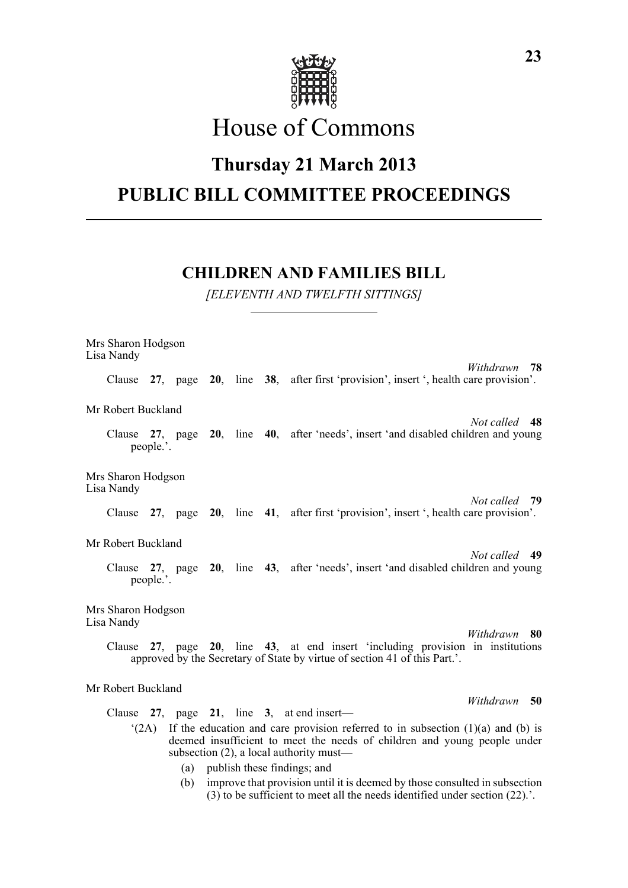

# House of Commons

## **Thursday 21 March 2013 PUBLIC BILL COMMITTEE PROCEEDINGS**

## **CHILDREN AND FAMILIES BILL**

*[ELEVENTH AND TWELFTH SITTINGS]*

Mrs Sharon Hodgson Lisa Nandy *Withdrawn* **78** Clause **27**, page **20**, line **38**, after first 'provision', insert ', health care provision'. Mr Robert Buckland *Not called* **48** Clause **27**, page **20**, line **40**, after 'needs', insert 'and disabled children and young people.'. Mrs Sharon Hodgson Lisa Nandy *Not called* **79** Clause **27**, page **20**, line **41**, after first 'provision', insert ', health care provision'. Mr Robert Buckland *Not called* **49** Clause **27**, page **20**, line **43**, after 'needs', insert 'and disabled children and young people.'. Mrs Sharon Hodgson Lisa Nandy *Withdrawn* **80** Clause **27**, page **20**, line **43**, at end insert 'including provision in institutions approved by the Secretary of State by virtue of section 41 of this Part.'. Mr Robert Buckland *Withdrawn* **50** Clause **27**, page **21**, line **3**, at end insert—

- $(2A)$  If the education and care provision referred to in subsection (1)(a) and (b) is deemed insufficient to meet the needs of children and young people under subsection (2), a local authority must—
	- (a) publish these findings; and
	- (b) improve that provision until it is deemed by those consulted in subsection  $(3)$  to be sufficient to meet all the needs identified under section  $(22)$ .'.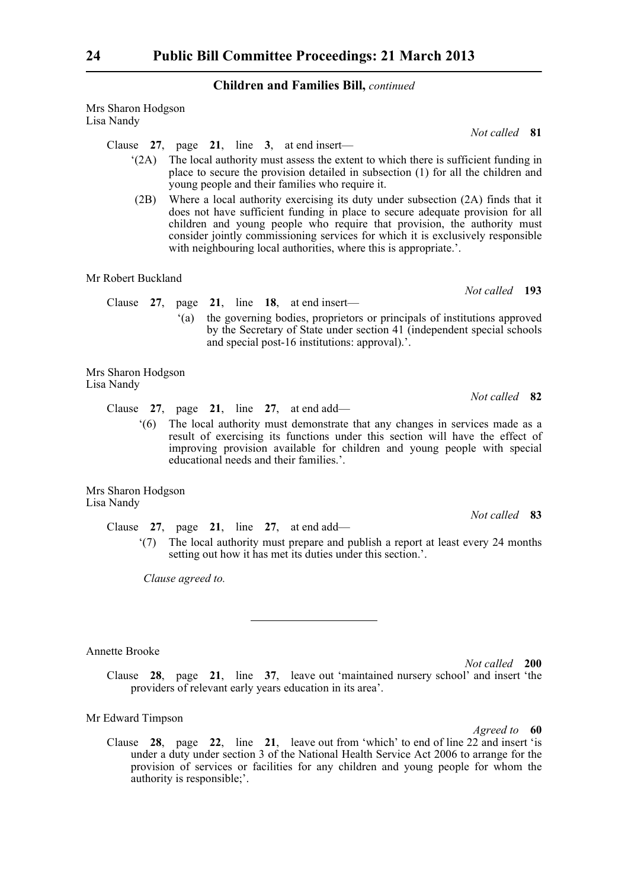Mrs Sharon Hodgson Lisa Nandy

#### Clause **27**, page **21**, line **3**, at end insert—

- '(2A) The local authority must assess the extent to which there is sufficient funding in place to secure the provision detailed in subsection (1) for all the children and young people and their families who require it.
- (2B) Where a local authority exercising its duty under subsection (2A) finds that it does not have sufficient funding in place to secure adequate provision for all children and young people who require that provision, the authority must consider jointly commissioning services for which it is exclusively responsible with neighbouring local authorities, where this is appropriate.'.

#### Mr Robert Buckland

- Clause **27**, page **21**, line **18**, at end insert—
	- '(a) the governing bodies, proprietors or principals of institutions approved by the Secretary of State under section 41 (independent special schools and special post-16 institutions: approval).'.

Mrs Sharon Hodgson Lisa Nandy

Clause **27**, page **21**, line **27**, at end add—

'(6) The local authority must demonstrate that any changes in services made as a result of exercising its functions under this section will have the effect of improving provision available for children and young people with special educational needs and their families.'.

Mrs Sharon Hodgson Lisa Nandy

Clause **27**, page **21**, line **27**, at end add—

'(7) The local authority must prepare and publish a report at least every 24 months setting out how it has met its duties under this section.'.

*Clause agreed to.*

Annette Brooke

*Not called* **200** Clause **28**, page **21**, line **37**, leave out 'maintained nursery school' and insert 'the providers of relevant early years education in its area'.

#### Mr Edward Timpson

*Agreed to* **60**

Clause **28**, page **22**, line **21**, leave out from 'which' to end of line 22 and insert 'is under a duty under section 3 of the National Health Service Act 2006 to arrange for the provision of services or facilities for any children and young people for whom the authority is responsible;'.

*Not called* **81**

*Not called* **83**

*Not called* **82**

*Not called* **193**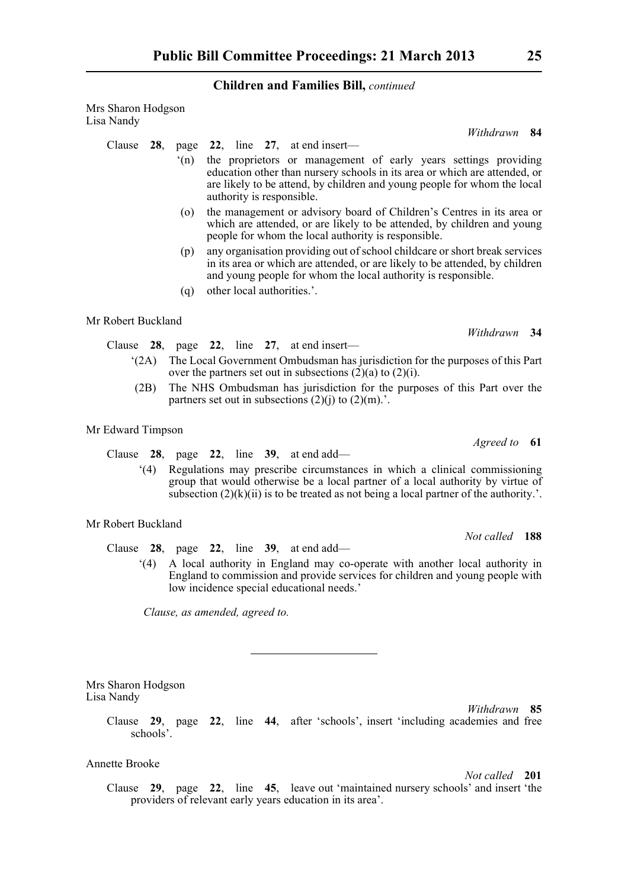Mrs Sharon Hodgson Lisa Nandy

Clause **28**, page **22**, line **27**, at end insert—

- '(n) the proprietors or management of early years settings providing education other than nursery schools in its area or which are attended, or are likely to be attend, by children and young people for whom the local authority is responsible.
- (o) the management or advisory board of Children's Centres in its area or which are attended, or are likely to be attended, by children and young people for whom the local authority is responsible.
- (p) any organisation providing out of school childcare or short break services in its area or which are attended, or are likely to be attended, by children and young people for whom the local authority is responsible.
- (q) other local authorities.'.

Mr Robert Buckland

Clause **28**, page **22**, line **27**, at end insert—

- '(2A) The Local Government Ombudsman has jurisdiction for the purposes of this Part over the partners set out in subsections  $(2)(a)$  to  $(2)(i)$ .
- (2B) The NHS Ombudsman has jurisdiction for the purposes of this Part over the partners set out in subsections  $(2)(i)$  to  $(2)(m)$ .'.

Mr Edward Timpson

Clause **28**, page **22**, line **39**, at end add—

'(4) Regulations may prescribe circumstances in which a clinical commissioning group that would otherwise be a local partner of a local authority by virtue of subsection  $(2)(k)(ii)$  is to be treated as not being a local partner of the authority.'.

#### Mr Robert Buckland

Clause **28**, page **22**, line **39**, at end add—

'(4) A local authority in England may co-operate with another local authority in England to commission and provide services for children and young people with low incidence special educational needs.'

*Clause, as amended, agreed to.*

Mrs Sharon Hodgson Lisa Nandy

> Clause **29**, page **22**, line **44**, after 'schools', insert 'including academies and free schools'.

#### Annette Brooke

*Not called* **201**

*Withdrawn* **85**

Clause **29**, page **22**, line **45**, leave out 'maintained nursery schools' and insert 'the providers of relevant early years education in its area'.

*Withdrawn* **34**

*Withdrawn* **84**

*Not called* **188**

*Agreed to* **61**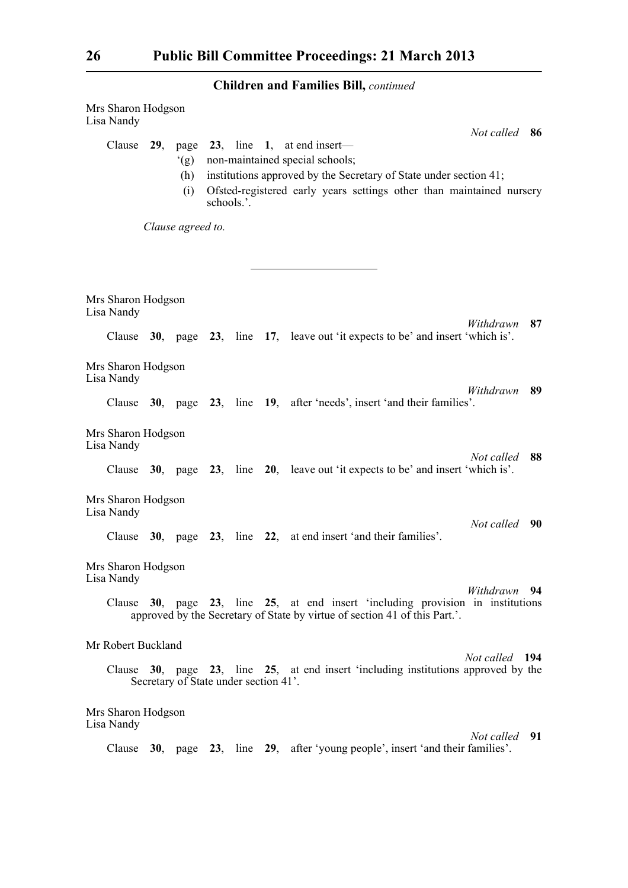| Mrs Sharon Hodgson<br>Lisa Nandy |     |                                       |            |  |  |                                                                                                                                                                                                                 |                |    |
|----------------------------------|-----|---------------------------------------|------------|--|--|-----------------------------------------------------------------------------------------------------------------------------------------------------------------------------------------------------------------|----------------|----|
| Clause                           | 29, | (g)<br>(h)<br>(i)                     | schools.'. |  |  | page 23, line 1, at end insert-<br>non-maintained special schools;<br>institutions approved by the Secretary of State under section 41;<br>Ofsted-registered early years settings other than maintained nursery | Not called 86  |    |
| Clause agreed to.                |     |                                       |            |  |  |                                                                                                                                                                                                                 |                |    |
|                                  |     |                                       |            |  |  |                                                                                                                                                                                                                 |                |    |
| Mrs Sharon Hodgson<br>Lisa Nandy |     |                                       |            |  |  |                                                                                                                                                                                                                 | Withdrawn      | 87 |
| Clause                           |     |                                       |            |  |  | 30, page 23, line 17, leave out 'it expects to be' and insert 'which is'.                                                                                                                                       |                |    |
| Mrs Sharon Hodgson<br>Lisa Nandy |     |                                       |            |  |  |                                                                                                                                                                                                                 |                |    |
|                                  |     |                                       |            |  |  | Clause 30, page 23, line 19, after 'needs', insert 'and their families'.                                                                                                                                        | Withdrawn      | 89 |
| Mrs Sharon Hodgson<br>Lisa Nandy |     |                                       |            |  |  |                                                                                                                                                                                                                 |                |    |
|                                  |     |                                       |            |  |  | Clause $30$ , page $23$ , line $20$ , leave out 'it expects to be' and insert 'which is'.                                                                                                                       | Not called     | 88 |
| Mrs Sharon Hodgson<br>Lisa Nandy |     |                                       |            |  |  |                                                                                                                                                                                                                 |                |    |
| Clause                           |     |                                       |            |  |  | 30, page 23, line 22, at end insert 'and their families'.                                                                                                                                                       | Not called 90  |    |
| Mrs Sharon Hodgson<br>Lisa Nandy |     |                                       |            |  |  |                                                                                                                                                                                                                 |                |    |
|                                  |     |                                       |            |  |  | Clause 30, page 23, line 25, at end insert 'including provision in institutions<br>approved by the Secretary of State by virtue of section 41 of this Part.'.                                                   | Withdrawn 94   |    |
| Mr Robert Buckland               |     |                                       |            |  |  |                                                                                                                                                                                                                 |                |    |
| Clause                           |     | Secretary of State under section 41'. |            |  |  | 30, page 23, line 25, at end insert 'including institutions approved by the                                                                                                                                     | Not called 194 |    |
| Mrs Sharon Hodgson<br>Lisa Nandy |     |                                       |            |  |  |                                                                                                                                                                                                                 |                |    |
|                                  |     |                                       |            |  |  | Clause 30, page 23, line 29, after 'young people', insert 'and their families'.                                                                                                                                 | Not called 91  |    |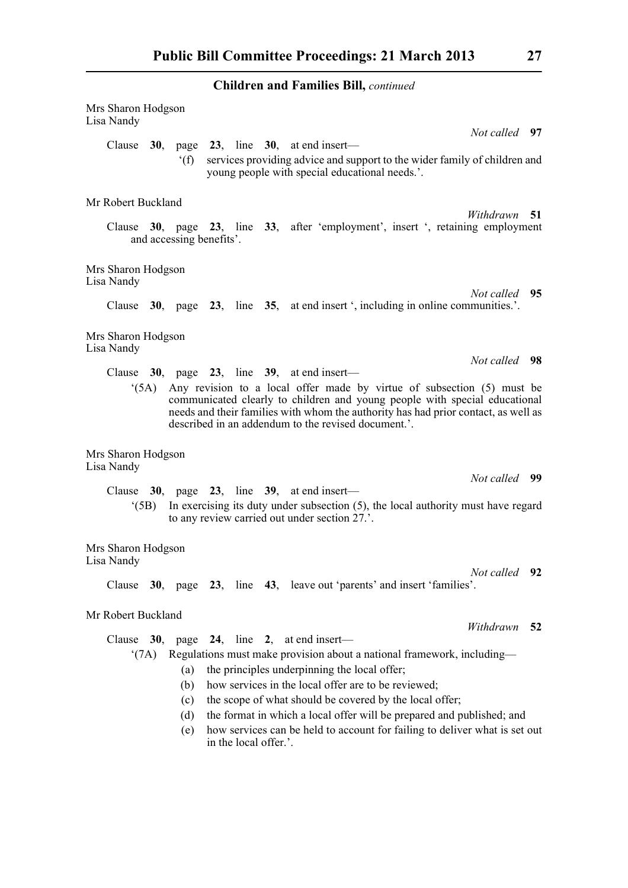| Mrs Sharon Hodgson<br>Lisa Nandy                                                                                                                                                                      |                 |                          |  |                       |  |                                                                                                                                                                                                                                                                                                   |               |      |  |
|-------------------------------------------------------------------------------------------------------------------------------------------------------------------------------------------------------|-----------------|--------------------------|--|-----------------------|--|---------------------------------------------------------------------------------------------------------------------------------------------------------------------------------------------------------------------------------------------------------------------------------------------------|---------------|------|--|
|                                                                                                                                                                                                       |                 |                          |  |                       |  |                                                                                                                                                                                                                                                                                                   | Not called 97 |      |  |
|                                                                                                                                                                                                       |                 | $^{\circ}$ (f)           |  |                       |  | Clause $30$ , page $23$ , line $30$ , at end insert—<br>services providing advice and support to the wider family of children and<br>young people with special educational needs.'.                                                                                                               |               |      |  |
| Mr Robert Buckland                                                                                                                                                                                    |                 |                          |  |                       |  |                                                                                                                                                                                                                                                                                                   |               |      |  |
|                                                                                                                                                                                                       |                 | and accessing benefits'. |  |                       |  | Clause 30, page 23, line 33, after 'employment', insert ', retaining employment                                                                                                                                                                                                                   | Withdrawn 51  |      |  |
| Mrs Sharon Hodgson<br>Lisa Nandy                                                                                                                                                                      |                 |                          |  |                       |  |                                                                                                                                                                                                                                                                                                   |               |      |  |
|                                                                                                                                                                                                       |                 |                          |  |                       |  | Clause 30, page 23, line 35, at end insert ', including in online communities.'.                                                                                                                                                                                                                  | Not called 95 |      |  |
| Mrs Sharon Hodgson<br>Lisa Nandy                                                                                                                                                                      |                 |                          |  |                       |  |                                                                                                                                                                                                                                                                                                   |               |      |  |
|                                                                                                                                                                                                       |                 |                          |  |                       |  | Clause $30$ , page $23$ , line $39$ , at end insert—                                                                                                                                                                                                                                              | Not called 98 |      |  |
|                                                                                                                                                                                                       | (5A)            |                          |  |                       |  | Any revision to a local offer made by virtue of subsection (5) must be<br>communicated clearly to children and young people with special educational<br>needs and their families with whom the authority has had prior contact, as well as<br>described in an addendum to the revised document.'. |               |      |  |
| Mrs Sharon Hodgson<br>Lisa Nandy                                                                                                                                                                      |                 |                          |  |                       |  |                                                                                                                                                                                                                                                                                                   |               |      |  |
|                                                                                                                                                                                                       |                 |                          |  |                       |  |                                                                                                                                                                                                                                                                                                   | Not called 99 |      |  |
| Clause $30$ , page $23$ , line $39$ , at end insert—<br>In exercising its duty under subsection $(5)$ , the local authority must have regard<br>(5B)<br>to any review carried out under section 27.'. |                 |                          |  |                       |  |                                                                                                                                                                                                                                                                                                   |               |      |  |
| Mrs Sharon Hodgson<br>Lisa Nandy                                                                                                                                                                      |                 |                          |  |                       |  |                                                                                                                                                                                                                                                                                                   |               |      |  |
|                                                                                                                                                                                                       |                 |                          |  |                       |  | Clause 30, page 23, line 43, leave out 'parents' and insert 'families'.                                                                                                                                                                                                                           | Not called 92 |      |  |
| Mr Robert Buckland<br>Withdrawn                                                                                                                                                                       |                 |                          |  |                       |  |                                                                                                                                                                                                                                                                                                   |               |      |  |
| Clause                                                                                                                                                                                                |                 |                          |  |                       |  | 30, page 24, line 2, at end insert—                                                                                                                                                                                                                                                               |               | - 52 |  |
|                                                                                                                                                                                                       | $^{\circ}$ (7A) |                          |  |                       |  | Regulations must make provision about a national framework, including-                                                                                                                                                                                                                            |               |      |  |
|                                                                                                                                                                                                       |                 | (a)                      |  |                       |  | the principles underpinning the local offer;                                                                                                                                                                                                                                                      |               |      |  |
|                                                                                                                                                                                                       |                 | (b)                      |  |                       |  | how services in the local offer are to be reviewed;                                                                                                                                                                                                                                               |               |      |  |
|                                                                                                                                                                                                       |                 | (c)                      |  |                       |  | the scope of what should be covered by the local offer;                                                                                                                                                                                                                                           |               |      |  |
|                                                                                                                                                                                                       |                 | (d)                      |  |                       |  | the format in which a local offer will be prepared and published; and                                                                                                                                                                                                                             |               |      |  |
|                                                                                                                                                                                                       |                 | (e)                      |  | in the local offer.'. |  | how services can be held to account for failing to deliver what is set out                                                                                                                                                                                                                        |               |      |  |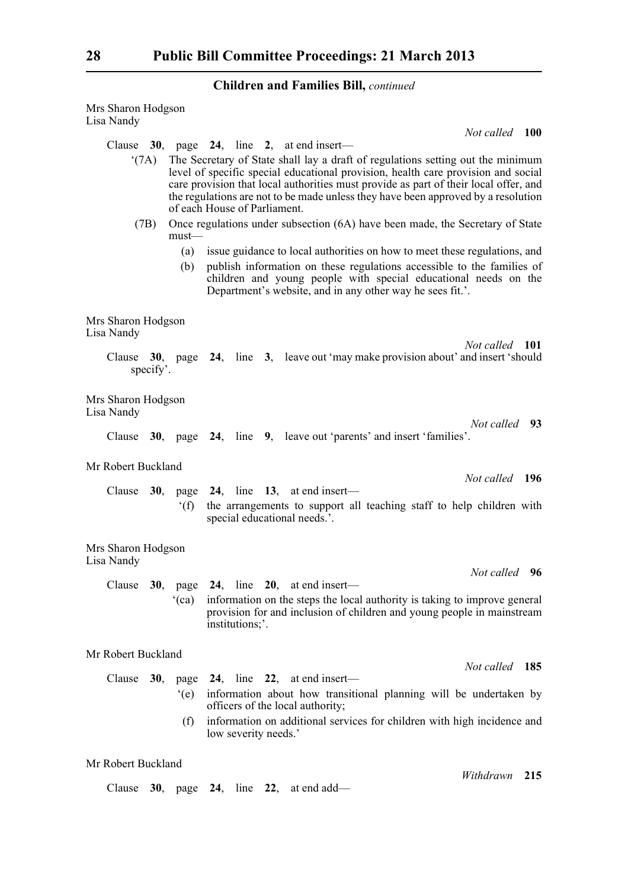| Mrs Sharon Hodgson<br>Lisa Nandy                                                                                                                                                                                                                                                                                                                                                                                                                                                               |  |  |  |  |  |  |  |  |  |
|------------------------------------------------------------------------------------------------------------------------------------------------------------------------------------------------------------------------------------------------------------------------------------------------------------------------------------------------------------------------------------------------------------------------------------------------------------------------------------------------|--|--|--|--|--|--|--|--|--|
| Not called 100                                                                                                                                                                                                                                                                                                                                                                                                                                                                                 |  |  |  |  |  |  |  |  |  |
| Clause $30$ , page $24$ , line 2, at end insert—                                                                                                                                                                                                                                                                                                                                                                                                                                               |  |  |  |  |  |  |  |  |  |
| The Secretary of State shall lay a draft of regulations setting out the minimum<br>(7A)<br>level of specific special educational provision, health care provision and social<br>care provision that local authorities must provide as part of their local offer, and<br>the regulations are not to be made unless they have been approved by a resolution<br>of each House of Parliament.<br>Once regulations under subsection (6A) have been made, the Secretary of State<br>(7B)<br>$must$ — |  |  |  |  |  |  |  |  |  |
| issue guidance to local authorities on how to meet these regulations, and<br>(a)<br>publish information on these regulations accessible to the families of<br>(b)<br>children and young people with special educational needs on the<br>Department's website, and in any other way he sees fit.'.                                                                                                                                                                                              |  |  |  |  |  |  |  |  |  |
| Mrs Sharon Hodgson<br>Lisa Nandy                                                                                                                                                                                                                                                                                                                                                                                                                                                               |  |  |  |  |  |  |  |  |  |
| Not called 101<br>Clause $30$ , page $24$ , line 3, leave out may make provision about and insert should<br>specify'.                                                                                                                                                                                                                                                                                                                                                                          |  |  |  |  |  |  |  |  |  |
| Mrs Sharon Hodgson<br>Lisa Nandy                                                                                                                                                                                                                                                                                                                                                                                                                                                               |  |  |  |  |  |  |  |  |  |
| Not called 93<br>Clause 30, page 24, line 9, leave out 'parents' and insert 'families'.                                                                                                                                                                                                                                                                                                                                                                                                        |  |  |  |  |  |  |  |  |  |
| Mr Robert Buckland<br>Not called 196                                                                                                                                                                                                                                                                                                                                                                                                                                                           |  |  |  |  |  |  |  |  |  |
| Clause $30$ , page $24$ , line 13, at end insert—<br>f(f)<br>the arrangements to support all teaching staff to help children with<br>special educational needs.'.                                                                                                                                                                                                                                                                                                                              |  |  |  |  |  |  |  |  |  |
| Mrs Sharon Hodgson<br>Lisa Nandy                                                                                                                                                                                                                                                                                                                                                                                                                                                               |  |  |  |  |  |  |  |  |  |
| Not called 96<br>30, page $24$ , line $20$ , at end insert—<br>Clause<br>information on the steps the local authority is taking to improve general<br>(ca)<br>provision for and inclusion of children and young people in mainstream<br>institutions;'.                                                                                                                                                                                                                                        |  |  |  |  |  |  |  |  |  |
| Mr Robert Buckland                                                                                                                                                                                                                                                                                                                                                                                                                                                                             |  |  |  |  |  |  |  |  |  |
| Not called 185<br>24, line 22, at end insert—<br>Clause<br>30,<br>page<br>information about how transitional planning will be undertaken by<br>(e)<br>officers of the local authority;<br>information on additional services for children with high incidence and<br>(f)<br>low severity needs.'                                                                                                                                                                                               |  |  |  |  |  |  |  |  |  |
| Mr Robert Buckland<br>Withdrawn<br>215                                                                                                                                                                                                                                                                                                                                                                                                                                                         |  |  |  |  |  |  |  |  |  |

Clause **30**, page **24**, line **22**, at end add—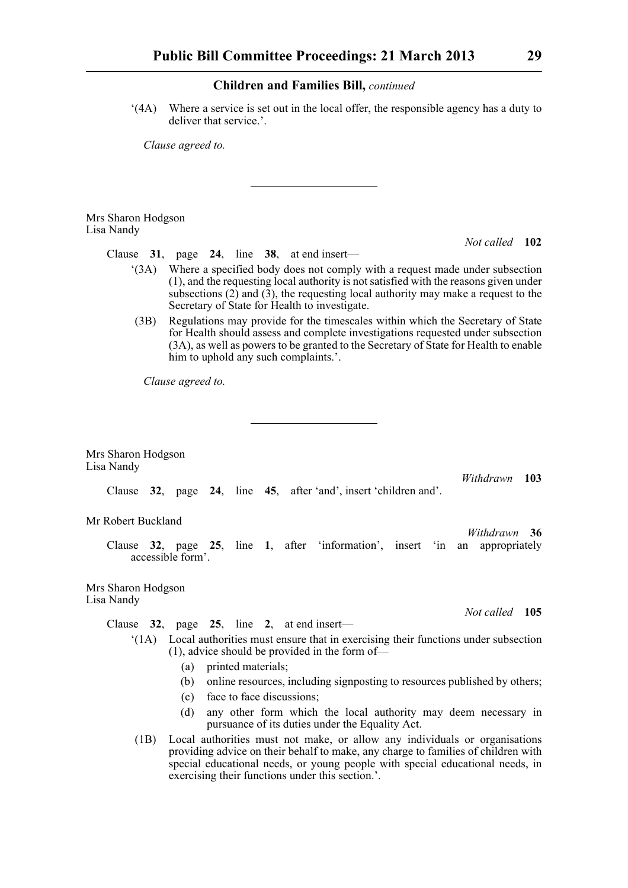'(4A) Where a service is set out in the local offer, the responsible agency has a duty to deliver that service.'.

*Clause agreed to.*

Mrs Sharon Hodgson Lisa Nandy

Clause **31**, page **24**, line **38**, at end insert—

- '(3A) Where a specified body does not comply with a request made under subsection (1), and the requesting local authority is not satisfied with the reasons given under subsections  $(2)$  and  $(3)$ , the requesting local authority may make a request to the Secretary of State for Health to investigate.
- (3B) Regulations may provide for the timescales within which the Secretary of State for Health should assess and complete investigations requested under subsection (3A), as well as powers to be granted to the Secretary of State for Health to enable him to uphold any such complaints.'.

*Clause agreed to.*

Mrs Sharon Hodgson Lisa Nandy

> *Withdrawn* **103** Clause **32**, page **24**, line **45**, after 'and', insert 'children and'.

Mr Robert Buckland

Clause **32**, page **25**, line **1**, after 'information', insert 'in an appropriately accessible form'.

Mrs Sharon Hodgson Lisa Nandy

Clause **32**, page **25**, line **2**, at end insert—

- '(1A) Local authorities must ensure that in exercising their functions under subsection (1), advice should be provided in the form of—
	- (a) printed materials;
	- (b) online resources, including signposting to resources published by others;
	- (c) face to face discussions;
	- (d) any other form which the local authority may deem necessary in pursuance of its duties under the Equality Act.
- (1B) Local authorities must not make, or allow any individuals or organisations providing advice on their behalf to make, any charge to families of children with special educational needs, or young people with special educational needs, in exercising their functions under this section.'.

*Not called* **105**

*Withdrawn* **36**

*Not called* **102**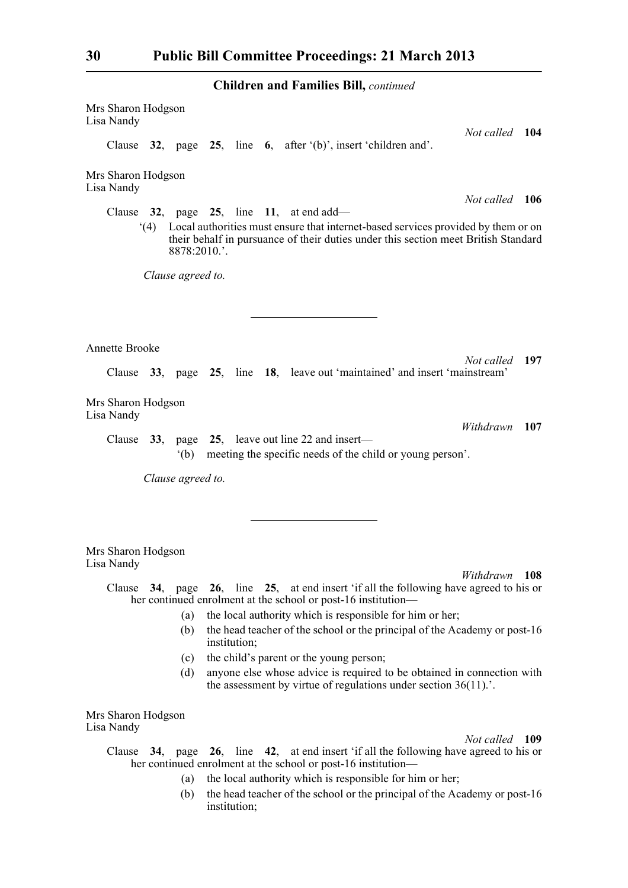Mrs Sharon Hodgson Lisa Nandy *Not called* **104** Clause **32**, page **25**, line **6**, after '(b)', insert 'children and'. Mrs Sharon Hodgson Lisa Nandy *Not called* **106** Clause **32**, page **25**, line **11**, at end add— '(4) Local authorities must ensure that internet-based services provided by them or on their behalf in pursuance of their duties under this section meet British Standard 8878:2010.'. *Clause agreed to.* Annette Brooke *Not called* **197** Clause **33**, page **25**, line **18**, leave out 'maintained' and insert 'mainstream' Mrs Sharon Hodgson Lisa Nandy *Withdrawn* **107** Clause **33**, page **25**, leave out line 22 and insert— '(b) meeting the specific needs of the child or young person'. *Clause agreed to.* Mrs Sharon Hodgson Lisa Nandy *Withdrawn* **108** Clause **34**, page **26**, line **25**, at end insert 'if all the following have agreed to his or her continued enrolment at the school or post-16 institution— (a) the local authority which is responsible for him or her; (b) the head teacher of the school or the principal of the Academy or post-16 institution; (c) the child's parent or the young person; (d) anyone else whose advice is required to be obtained in connection with

Mrs Sharon Hodgson Lisa Nandy

*Not called* **109**

- Clause **34**, page **26**, line **42**, at end insert 'if all the following have agreed to his or her continued enrolment at the school or post-16 institution—
	- (a) the local authority which is responsible for him or her;
	- (b) the head teacher of the school or the principal of the Academy or post-16 institution;

the assessment by virtue of regulations under section 36(11).'.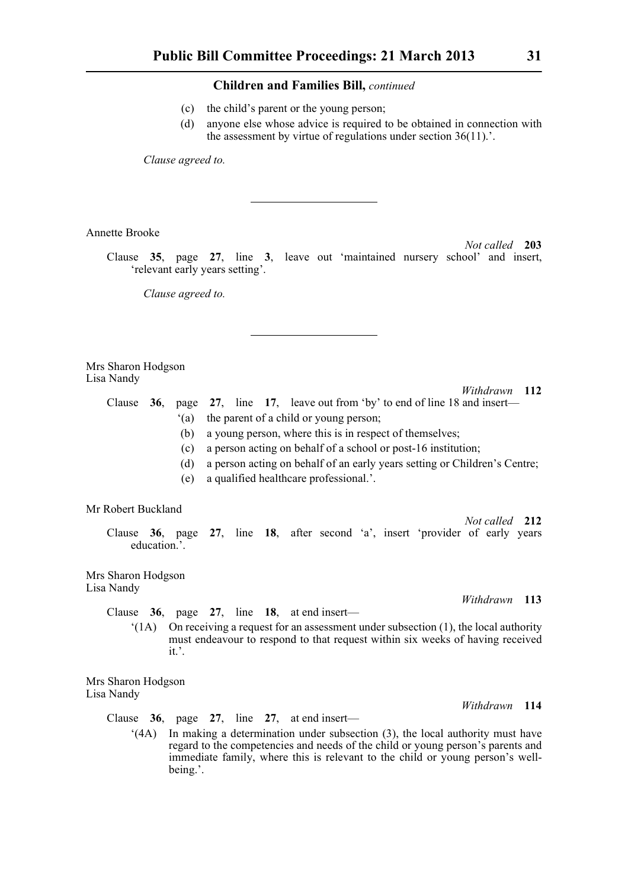- (c) the child's parent or the young person;
- (d) anyone else whose advice is required to be obtained in connection with the assessment by virtue of regulations under section 36(11).'.

*Clause agreed to.*

Annette Brooke

*Not called* **203** Clause **35**, page **27**, line **3**, leave out 'maintained nursery school' and insert, 'relevant early years setting'.

*Clause agreed to.*

Mrs Sharon Hodgson Lisa Nandy

*Withdrawn* **112**

*Withdrawn* **113**

*Withdrawn* **114**

- Clause **36**, page **27**, line **17**, leave out from 'by' to end of line 18 and insert— '(a) the parent of a child or young person; (b) a young person, where this is in respect of themselves; (c) a person acting on behalf of a school or post-16 institution;
	- (d) a person acting on behalf of an early years setting or Children's Centre;
	- (e) a qualified healthcare professional.'.

#### Mr Robert Buckland

*Not called* **212** Clause **36**, page **27**, line **18**, after second 'a', insert 'provider of early years education.'.

Mrs Sharon Hodgson Lisa Nandy

Clause **36**, page **27**, line **18**, at end insert—

 $'(1A)$  On receiving a request for an assessment under subsection (1), the local authority must endeavour to respond to that request within six weeks of having received it.'.

Mrs Sharon Hodgson Lisa Nandy

Clause **36**, page **27**, line **27**, at end insert—

'(4A) In making a determination under subsection (3), the local authority must have regard to the competencies and needs of the child or young person's parents and immediate family, where this is relevant to the child or young person's wellbeing.'.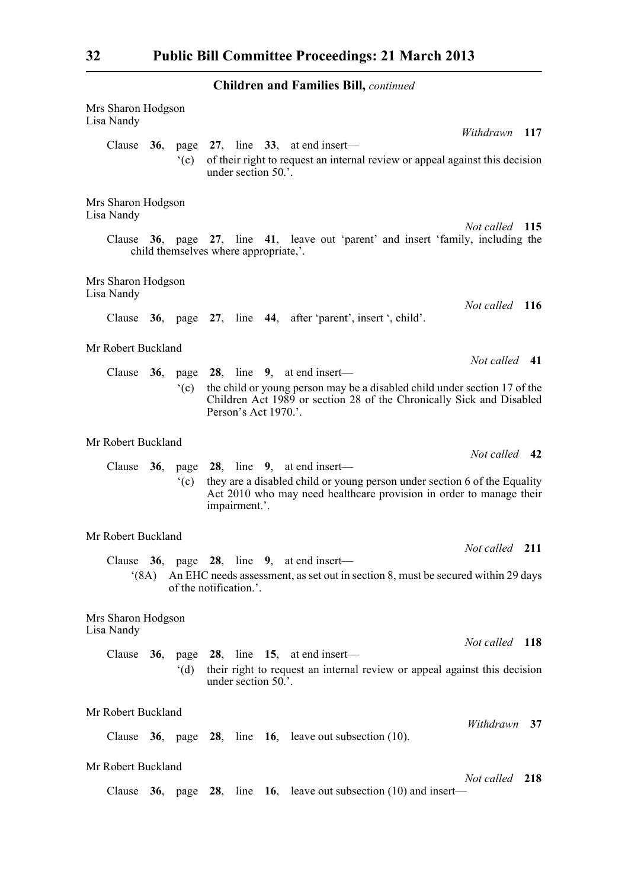| Mrs Sharon Hodgson<br>Lisa Nandy                                                                                                                                                     |                                                                                                                                                                                            |                |                                                                                                                                                  |                     |  |                                                                                                                                      |                |    |  |  |
|--------------------------------------------------------------------------------------------------------------------------------------------------------------------------------------|--------------------------------------------------------------------------------------------------------------------------------------------------------------------------------------------|----------------|--------------------------------------------------------------------------------------------------------------------------------------------------|---------------------|--|--------------------------------------------------------------------------------------------------------------------------------------|----------------|----|--|--|
|                                                                                                                                                                                      |                                                                                                                                                                                            | $^{\circ}$ (c) |                                                                                                                                                  | under section 50.'. |  | Clause $36$ , page $27$ , line $33$ , at end insert—<br>of their right to request an internal review or appeal against this decision | Withdrawn 117  |    |  |  |
| Mrs Sharon Hodgson<br>Lisa Nandy                                                                                                                                                     |                                                                                                                                                                                            |                |                                                                                                                                                  |                     |  |                                                                                                                                      |                |    |  |  |
| Not called 115<br>Clause 36, page 27, line 41, leave out 'parent' and insert 'family, including the<br>child themselves where appropriate,'.                                         |                                                                                                                                                                                            |                |                                                                                                                                                  |                     |  |                                                                                                                                      |                |    |  |  |
| Mrs Sharon Hodgson<br>Lisa Nandy                                                                                                                                                     |                                                                                                                                                                                            |                |                                                                                                                                                  |                     |  |                                                                                                                                      |                |    |  |  |
|                                                                                                                                                                                      |                                                                                                                                                                                            |                |                                                                                                                                                  |                     |  | Clause 36, page 27, line 44, after 'parent', insert ', child'.                                                                       | Not called 116 |    |  |  |
| Mr Robert Buckland                                                                                                                                                                   |                                                                                                                                                                                            |                |                                                                                                                                                  |                     |  |                                                                                                                                      |                |    |  |  |
|                                                                                                                                                                                      |                                                                                                                                                                                            |                |                                                                                                                                                  |                     |  | Clause $36$ , page $28$ , line 9, at end insert—                                                                                     | Not called 41  |    |  |  |
|                                                                                                                                                                                      | the child or young person may be a disabled child under section 17 of the<br>$\degree$ (c)<br>Children Act 1989 or section 28 of the Chronically Sick and Disabled<br>Person's Act 1970.'. |                |                                                                                                                                                  |                     |  |                                                                                                                                      |                |    |  |  |
| Mr Robert Buckland                                                                                                                                                                   |                                                                                                                                                                                            |                |                                                                                                                                                  |                     |  |                                                                                                                                      |                |    |  |  |
|                                                                                                                                                                                      |                                                                                                                                                                                            |                |                                                                                                                                                  |                     |  | Clause $36$ , page $28$ , line 9, at end insert—                                                                                     | Not called 42  |    |  |  |
|                                                                                                                                                                                      |                                                                                                                                                                                            | $\degree$ (c)  | they are a disabled child or young person under section 6 of the Equality<br>Act 2010 who may need healthcare provision in order to manage their |                     |  |                                                                                                                                      |                |    |  |  |
| Mr Robert Buckland                                                                                                                                                                   |                                                                                                                                                                                            |                |                                                                                                                                                  |                     |  |                                                                                                                                      |                |    |  |  |
|                                                                                                                                                                                      |                                                                                                                                                                                            |                |                                                                                                                                                  |                     |  |                                                                                                                                      | Not called 211 |    |  |  |
| Clause $36$ , page $28$ , line $9$ , at end insert—<br>An EHC needs assessment, as set out in section 8, must be secured within 29 days<br>$^{\circ}$ (8A)<br>of the notification.'. |                                                                                                                                                                                            |                |                                                                                                                                                  |                     |  |                                                                                                                                      |                |    |  |  |
| Mrs Sharon Hodgson<br>Lisa Nandy                                                                                                                                                     |                                                                                                                                                                                            |                |                                                                                                                                                  |                     |  |                                                                                                                                      |                |    |  |  |
|                                                                                                                                                                                      |                                                                                                                                                                                            |                |                                                                                                                                                  |                     |  | Clause $36$ , page $28$ , line 15, at end insert—                                                                                    | Not called 118 |    |  |  |
|                                                                                                                                                                                      |                                                                                                                                                                                            | $^{\circ}$ (d) |                                                                                                                                                  | under section 50.'. |  | their right to request an internal review or appeal against this decision                                                            |                |    |  |  |
| Mr Robert Buckland                                                                                                                                                                   |                                                                                                                                                                                            |                |                                                                                                                                                  |                     |  |                                                                                                                                      |                |    |  |  |
|                                                                                                                                                                                      |                                                                                                                                                                                            |                |                                                                                                                                                  |                     |  | Clause $36$ , page $28$ , line $16$ , leave out subsection (10).                                                                     | Withdrawn      | 37 |  |  |
|                                                                                                                                                                                      | Mr Robert Buckland                                                                                                                                                                         |                |                                                                                                                                                  |                     |  |                                                                                                                                      |                |    |  |  |
|                                                                                                                                                                                      |                                                                                                                                                                                            |                |                                                                                                                                                  |                     |  | Clause 36, page 28, line 16, leave out subsection $(10)$ and insert—                                                                 | Not called 218 |    |  |  |